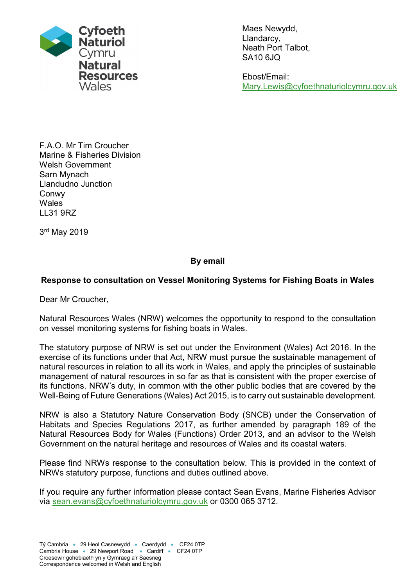

Maes Newydd, Llandarcy, Neath Port Talbot, SA10 6JQ

Ebost/Email: Mary.Lewis@cyfoethnaturiolcymru.gov.uk

F.A.O. Mr Tim Croucher Marine & Fisheries Division Welsh Government Sarn Mynach Llandudno Junction Conwy **Wales** LL31 9RZ

3 rd May 2019

### By email

#### Response to consultation on Vessel Monitoring Systems for Fishing Boats in Wales

Dear Mr Croucher,

Natural Resources Wales (NRW) welcomes the opportunity to respond to the consultation on vessel monitoring systems for fishing boats in Wales.

The statutory purpose of NRW is set out under the Environment (Wales) Act 2016. In the exercise of its functions under that Act, NRW must pursue the sustainable management of natural resources in relation to all its work in Wales, and apply the principles of sustainable management of natural resources in so far as that is consistent with the proper exercise of its functions. NRW's duty, in common with the other public bodies that are covered by the Well-Being of Future Generations (Wales) Act 2015, is to carry out sustainable development.

NRW is also a Statutory Nature Conservation Body (SNCB) under the Conservation of Habitats and Species Regulations 2017, as further amended by paragraph 189 of the Natural Resources Body for Wales (Functions) Order 2013, and an advisor to the Welsh Government on the natural heritage and resources of Wales and its coastal waters.

Please find NRWs response to the consultation below. This is provided in the context of NRWs statutory purpose, functions and duties outlined above.

If you require any further information please contact Sean Evans, Marine Fisheries Advisor via sean.evans@cyfoethnaturiolcymru.gov.uk or 0300 065 3712.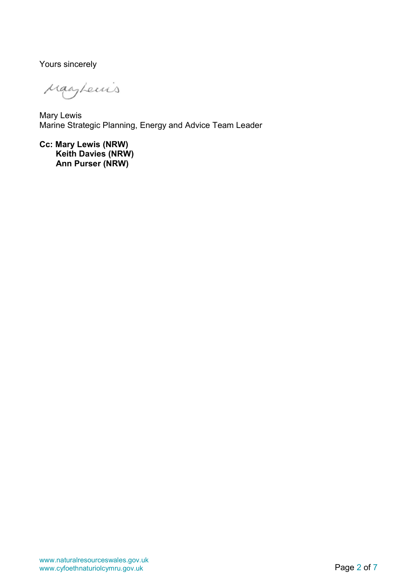Yours sincerely

Magherris

Mary Lewis Marine Strategic Planning, Energy and Advice Team Leader

Cc: Mary Lewis (NRW) Keith Davies (NRW) Ann Purser (NRW)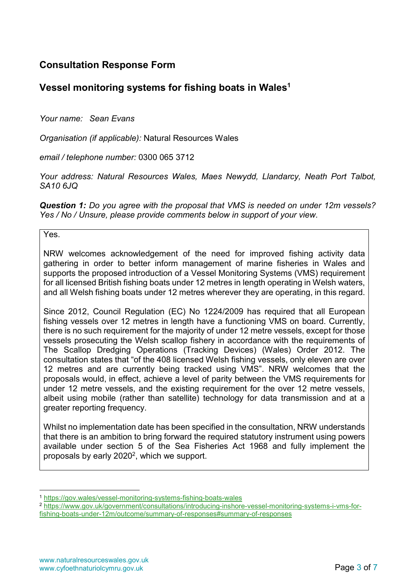## Consultation Response Form

# Vessel monitoring systems for fishing boats in Wales<sup>1</sup>

Your name: Sean Evans

Organisation (if applicable): Natural Resources Wales

email / telephone number: 0300 065 3712

Your address: Natural Resources Wales, Maes Newydd, Llandarcy, Neath Port Talbot, SA10 6JQ

Question 1: Do you agree with the proposal that VMS is needed on under 12m vessels? Yes / No / Unsure, please provide comments below in support of your view.

Yes.

 $\overline{a}$ 

NRW welcomes acknowledgement of the need for improved fishing activity data gathering in order to better inform management of marine fisheries in Wales and supports the proposed introduction of a Vessel Monitoring Systems (VMS) requirement for all licensed British fishing boats under 12 metres in length operating in Welsh waters, and all Welsh fishing boats under 12 metres wherever they are operating, in this regard.

Since 2012, Council Regulation (EC) No 1224/2009 has required that all European fishing vessels over 12 metres in length have a functioning VMS on board. Currently, there is no such requirement for the majority of under 12 metre vessels, except for those vessels prosecuting the Welsh scallop fishery in accordance with the requirements of The Scallop Dredging Operations (Tracking Devices) (Wales) Order 2012. The consultation states that "of the 408 licensed Welsh fishing vessels, only eleven are over 12 metres and are currently being tracked using VMS". NRW welcomes that the proposals would, in effect, achieve a level of parity between the VMS requirements for under 12 metre vessels, and the existing requirement for the over 12 metre vessels, albeit using mobile (rather than satellite) technology for data transmission and at a greater reporting frequency.

Whilst no implementation date has been specified in the consultation, NRW understands that there is an ambition to bring forward the required statutory instrument using powers available under section 5 of the Sea Fisheries Act 1968 and fully implement the proposals by early 2020<sup>2</sup>, which we support.

<sup>1</sup> https://gov.wales/vessel-monitoring-systems-fishing-boats-wales

<sup>2</sup> https://www.gov.uk/government/consultations/introducing-inshore-vessel-monitoring-systems-i-vms-forfishing-boats-under-12m/outcome/summary-of-responses#summary-of-responses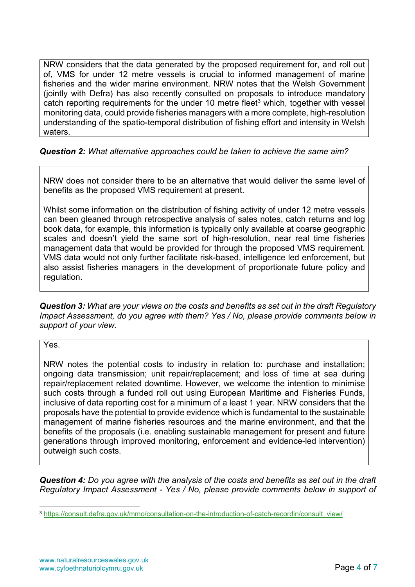NRW considers that the data generated by the proposed requirement for, and roll out of, VMS for under 12 metre vessels is crucial to informed management of marine fisheries and the wider marine environment. NRW notes that the Welsh Government (jointly with Defra) has also recently consulted on proposals to introduce mandatory catch reporting requirements for the under 10 metre fleet<sup>3</sup> which, together with vessel monitoring data, could provide fisheries managers with a more complete, high-resolution understanding of the spatio-temporal distribution of fishing effort and intensity in Welsh waters.

#### Question 2: What alternative approaches could be taken to achieve the same aim?

NRW does not consider there to be an alternative that would deliver the same level of benefits as the proposed VMS requirement at present.

Whilst some information on the distribution of fishing activity of under 12 metre vessels can been gleaned through retrospective analysis of sales notes, catch returns and log book data, for example, this information is typically only available at coarse geographic scales and doesn't yield the same sort of high-resolution, near real time fisheries management data that would be provided for through the proposed VMS requirement. VMS data would not only further facilitate risk-based, intelligence led enforcement, but also assist fisheries managers in the development of proportionate future policy and regulation.

Question 3: What are your views on the costs and benefits as set out in the draft Regulatory Impact Assessment, do you agree with them? Yes / No, please provide comments below in support of your view.

Yes.

 $\overline{a}$ 

NRW notes the potential costs to industry in relation to: purchase and installation; ongoing data transmission; unit repair/replacement; and loss of time at sea during repair/replacement related downtime. However, we welcome the intention to minimise such costs through a funded roll out using European Maritime and Fisheries Funds, inclusive of data reporting cost for a minimum of a least 1 year. NRW considers that the proposals have the potential to provide evidence which is fundamental to the sustainable management of marine fisheries resources and the marine environment, and that the benefits of the proposals (i.e. enabling sustainable management for present and future generations through improved monitoring, enforcement and evidence-led intervention) outweigh such costs.

Question 4: Do you agree with the analysis of the costs and benefits as set out in the draft Regulatory Impact Assessment - Yes / No, please provide comments below in support of

<sup>3</sup> https://consult.defra.gov.uk/mmo/consultation-on-the-introduction-of-catch-recordin/consult\_view/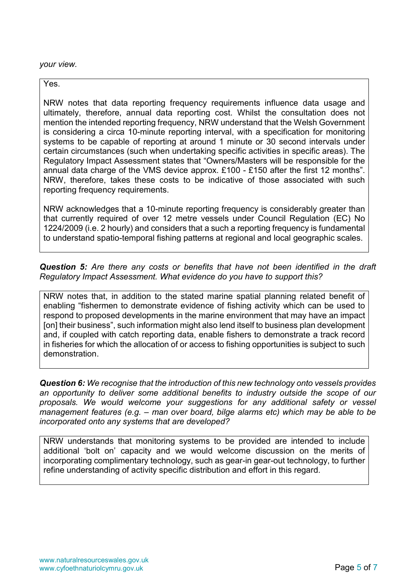your view.

Yes.

NRW notes that data reporting frequency requirements influence data usage and ultimately, therefore, annual data reporting cost. Whilst the consultation does not mention the intended reporting frequency, NRW understand that the Welsh Government is considering a circa 10-minute reporting interval, with a specification for monitoring systems to be capable of reporting at around 1 minute or 30 second intervals under certain circumstances (such when undertaking specific activities in specific areas). The Regulatory Impact Assessment states that "Owners/Masters will be responsible for the annual data charge of the VMS device approx. £100 - £150 after the first 12 months". NRW, therefore, takes these costs to be indicative of those associated with such reporting frequency requirements.

NRW acknowledges that a 10-minute reporting frequency is considerably greater than that currently required of over 12 metre vessels under Council Regulation (EC) No 1224/2009 (i.e. 2 hourly) and considers that a such a reporting frequency is fundamental to understand spatio-temporal fishing patterns at regional and local geographic scales.

Question 5: Are there any costs or benefits that have not been identified in the draft Regulatory Impact Assessment. What evidence do you have to support this?

NRW notes that, in addition to the stated marine spatial planning related benefit of enabling "fishermen to demonstrate evidence of fishing activity which can be used to respond to proposed developments in the marine environment that may have an impact [on] their business", such information might also lend itself to business plan development and, if coupled with catch reporting data, enable fishers to demonstrate a track record in fisheries for which the allocation of or access to fishing opportunities is subject to such demonstration.

Question 6: We recognise that the introduction of this new technology onto vessels provides an opportunity to deliver some additional benefits to industry outside the scope of our proposals. We would welcome your suggestions for any additional safety or vessel management features (e.g. – man over board, bilge alarms etc) which may be able to be incorporated onto any systems that are developed?

NRW understands that monitoring systems to be provided are intended to include additional 'bolt on' capacity and we would welcome discussion on the merits of incorporating complimentary technology, such as gear-in gear-out technology, to further refine understanding of activity specific distribution and effort in this regard.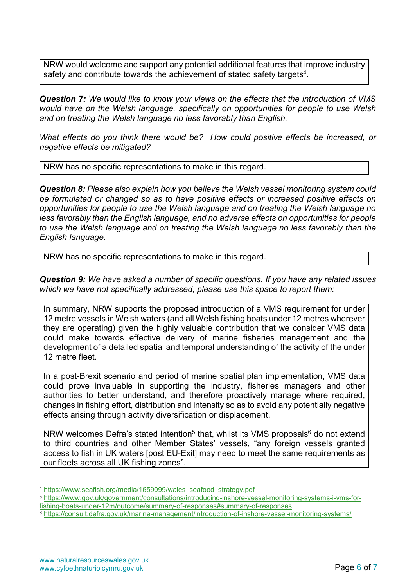NRW would welcome and support any potential additional features that improve industry safety and contribute towards the achievement of stated safety targets<sup>4</sup>.

Question 7: We would like to know your views on the effects that the introduction of VMS would have on the Welsh language, specifically on opportunities for people to use Welsh and on treating the Welsh language no less favorably than English.

What effects do you think there would be? How could positive effects be increased, or negative effects be mitigated?

NRW has no specific representations to make in this regard.

Question 8: Please also explain how you believe the Welsh vessel monitoring system could be formulated or changed so as to have positive effects or increased positive effects on opportunities for people to use the Welsh language and on treating the Welsh language no less favorably than the English language, and no adverse effects on opportunities for people to use the Welsh language and on treating the Welsh language no less favorably than the English language.

NRW has no specific representations to make in this regard.

Question 9: We have asked a number of specific questions. If you have any related issues which we have not specifically addressed, please use this space to report them:

In summary, NRW supports the proposed introduction of a VMS requirement for under 12 metre vessels in Welsh waters (and all Welsh fishing boats under 12 metres wherever they are operating) given the highly valuable contribution that we consider VMS data could make towards effective delivery of marine fisheries management and the development of a detailed spatial and temporal understanding of the activity of the under 12 metre fleet.

In a post-Brexit scenario and period of marine spatial plan implementation, VMS data could prove invaluable in supporting the industry, fisheries managers and other authorities to better understand, and therefore proactively manage where required, changes in fishing effort, distribution and intensity so as to avoid any potentially negative effects arising through activity diversification or displacement.

NRW welcomes Defra's stated intention<sup>5</sup> that, whilst its VMS proposals<sup>6</sup> do not extend to third countries and other Member States' vessels, "any foreign vessels granted access to fish in UK waters [post EU-Exit] may need to meet the same requirements as our fleets across all UK fishing zones".

-

<sup>4</sup> https://www.seafish.org/media/1659099/wales\_seafood\_strategy.pdf

<sup>5</sup> https://www.gov.uk/government/consultations/introducing-inshore-vessel-monitoring-systems-i-vms-forfishing-boats-under-12m/outcome/summary-of-responses#summary-of-responses

<sup>6</sup> https://consult.defra.gov.uk/marine-management/introduction-of-inshore-vessel-monitoring-systems/